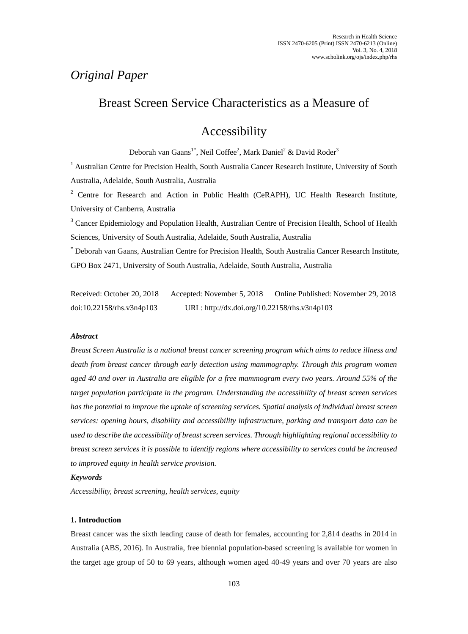# *Original Paper*

## Breast Screen Service Characteristics as a Measure of

# Accessibility

Deborah van Gaans<sup>1\*</sup>, Neil Coffee<sup>2</sup>, Mark Daniel<sup>2</sup> & David Roder<sup>3</sup>

<sup>1</sup> Australian Centre for Precision Health, South Australia Cancer Research Institute, University of South Australia, Adelaide, South Australia, Australia

<sup>2</sup> Centre for Research and Action in Public Health (CeRAPH), UC Health Research Institute, University of Canberra, Australia

<sup>3</sup> Cancer Epidemiology and Population Health, Australian Centre of Precision Health, School of Health Sciences, University of South Australia, Adelaide, South Australia, Australia

\* Deborah van Gaans, Australian Centre for Precision Health, South Australia Cancer Research Institute, GPO Box 2471, University of South Australia, Adelaide, South Australia, Australia

Received: October 20, 2018 Accepted: November 5, 2018 Online Published: November 29, 2018 doi:10.22158/rhs.v3n4p103 URL: http://dx.doi.org/10.22158/rhs.v3n4p103

### *Abstract*

*Breast Screen Australia is a national breast cancer screening program which aims to reduce illness and death from breast cancer through early detection using mammography. Through this program women aged 40 and over in Australia are eligible for a free mammogram every two years. Around 55% of the target population participate in the program. Understanding the accessibility of breast screen services has the potential to improve the uptake of screening services. Spatial analysis of individual breast screen services: opening hours, disability and accessibility infrastructure, parking and transport data can be used to describe the accessibility of breast screen services. Through highlighting regional accessibility to breast screen services it is possible to identify regions where accessibility to services could be increased to improved equity in health service provision.*

### *Keywords*

*Accessibility, breast screening, health services, equity*

### **1. Introduction**

Breast cancer was the sixth leading cause of death for females, accounting for 2,814 deaths in 2014 in Australia (ABS, 2016). In Australia, free biennial population-based screening is available for women in the target age group of 50 to 69 years, although women aged 40-49 years and over 70 years are also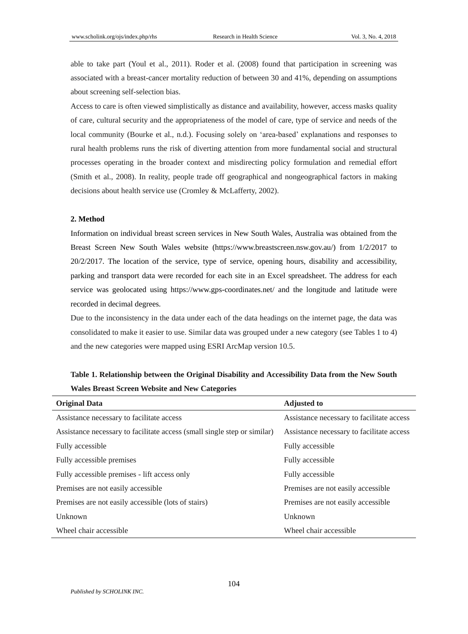able to take part (Youl et al., 2011). Roder et al. (2008) found that participation in screening was associated with a breast-cancer mortality reduction of between 30 and 41%, depending on assumptions about screening self-selection bias.

Access to care is often viewed simplistically as distance and availability, however, access masks quality of care, cultural security and the appropriateness of the model of care, type of service and needs of the local community (Bourke et al., n.d.). Focusing solely on 'area-based' explanations and responses to rural health problems runs the risk of diverting attention from more fundamental social and structural processes operating in the broader context and misdirecting policy formulation and remedial effort (Smith et al., 2008). In reality, people trade off geographical and nongeographical factors in making decisions about health service use (Cromley & McLafferty, 2002).

### **2. Method**

Information on individual breast screen services in New South Wales, Australia was obtained from the Breast Screen New South Wales website (https://www.breastscreen.nsw.gov.au/) from 1/2/2017 to 20/2/2017. The location of the service, type of service, opening hours, disability and accessibility, parking and transport data were recorded for each site in an Excel spreadsheet. The address for each service was geolocated using https://www.gps-coordinates.net/ and the longitude and latitude were recorded in decimal degrees.

Due to the inconsistency in the data under each of the data headings on the internet page, the data was consolidated to make it easier to use. Similar data was grouped under a new category (see Tables 1 to 4) and the new categories were mapped using ESRI ArcMap version 10.5.

| <b>Original Data</b>                                                     | <b>Adjusted to</b>                        |
|--------------------------------------------------------------------------|-------------------------------------------|
| Assistance necessary to facilitate access                                | Assistance necessary to facilitate access |
| Assistance necessary to facilitate access (small single step or similar) | Assistance necessary to facilitate access |
| Fully accessible                                                         | Fully accessible                          |
| Fully accessible premises                                                | Fully accessible                          |
| Fully accessible premises - lift access only                             | Fully accessible                          |
| Premises are not easily accessible                                       | Premises are not easily accessible        |
| Premises are not easily accessible (lots of stairs)                      | Premises are not easily accessible.       |
| Unknown                                                                  | Unknown                                   |
| Wheel chair accessible                                                   | Wheel chair accessible                    |

**Table 1. Relationship between the Original Disability and Accessibility Data from the New South Wales Breast Screen Website and New Categories**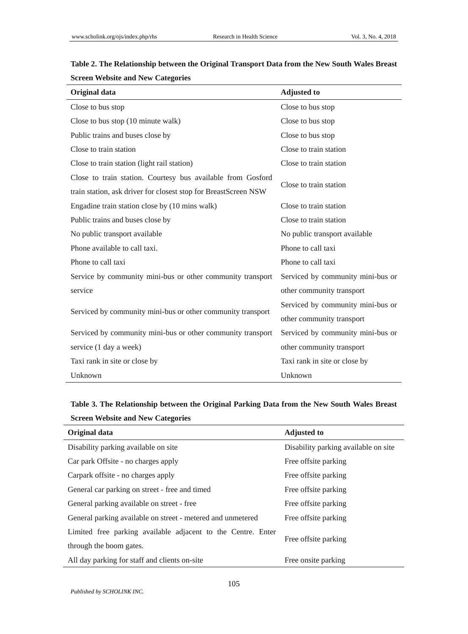| Original data                                                   | <b>Adjusted to</b>                |  |  |
|-----------------------------------------------------------------|-----------------------------------|--|--|
| Close to bus stop                                               | Close to bus stop                 |  |  |
| Close to bus stop (10 minute walk)                              | Close to bus stop                 |  |  |
| Public trains and buses close by                                | Close to bus stop                 |  |  |
| Close to train station                                          | Close to train station            |  |  |
| Close to train station (light rail station)                     | Close to train station            |  |  |
| Close to train station. Courtesy bus available from Gosford     |                                   |  |  |
| train station, ask driver for closest stop for BreastScreen NSW | Close to train station            |  |  |
| Engadine train station close by (10 mins walk)                  | Close to train station            |  |  |
| Public trains and buses close by                                | Close to train station            |  |  |
| No public transport available                                   | No public transport available     |  |  |
| Phone available to call taxi.                                   | Phone to call taxi                |  |  |
| Phone to call taxi                                              | Phone to call taxi                |  |  |
| Service by community mini-bus or other community transport      | Serviced by community mini-bus or |  |  |
| service                                                         | other community transport         |  |  |
|                                                                 | Serviced by community mini-bus or |  |  |
| Serviced by community mini-bus or other community transport     | other community transport         |  |  |
| Serviced by community mini-bus or other community transport     | Serviced by community mini-bus or |  |  |
| service (1 day a week)                                          | other community transport         |  |  |
| Taxi rank in site or close by                                   | Taxi rank in site or close by     |  |  |
| Unknown                                                         | Unknown                           |  |  |

## **Table 2. The Relationship between the Original Transport Data from the New South Wales Breast Screen Website and New Categories**

**Table 3. The Relationship between the Original Parking Data from the New South Wales Breast Screen Website and New Categories**

| Original data                                                | <b>Adjusted to</b>                    |  |  |
|--------------------------------------------------------------|---------------------------------------|--|--|
| Disability parking available on site                         | Disability parking available on site. |  |  |
| Car park Offsite - no charges apply                          | Free offsite parking                  |  |  |
| Carpark offsite - no charges apply                           | Free offsite parking                  |  |  |
| General car parking on street - free and timed               | Free offsite parking                  |  |  |
| General parking available on street - free                   | Free offsite parking                  |  |  |
| General parking available on street - metered and unmetered  | Free offsite parking                  |  |  |
| Limited free parking available adjacent to the Centre. Enter |                                       |  |  |
| through the boom gates.                                      | Free offsite parking                  |  |  |
| All day parking for staff and clients on-site                | Free onsite parking                   |  |  |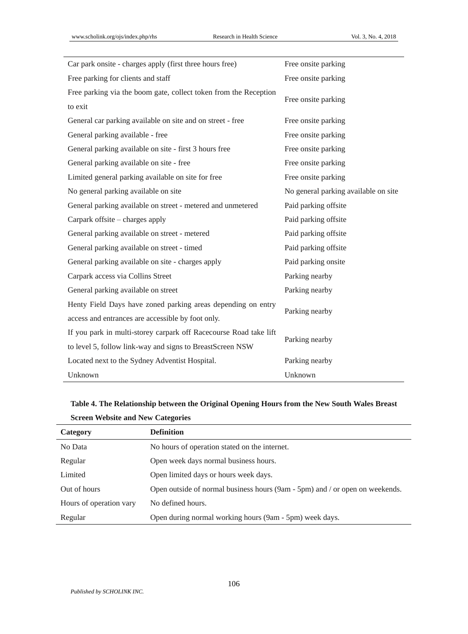| Car park onsite - charges apply (first three hours free)          | Free onsite parking                  |  |  |
|-------------------------------------------------------------------|--------------------------------------|--|--|
| Free parking for clients and staff                                | Free onsite parking                  |  |  |
| Free parking via the boom gate, collect token from the Reception  | Free onsite parking                  |  |  |
| to exit                                                           |                                      |  |  |
| General car parking available on site and on street - free        | Free onsite parking                  |  |  |
| General parking available - free                                  | Free onsite parking                  |  |  |
| General parking available on site - first 3 hours free            | Free onsite parking                  |  |  |
| General parking available on site - free                          | Free onsite parking                  |  |  |
| Limited general parking available on site for free                | Free onsite parking                  |  |  |
| No general parking available on site                              | No general parking available on site |  |  |
| General parking available on street - metered and unmetered       | Paid parking offsite                 |  |  |
| Carpark offsite – charges apply                                   | Paid parking offsite                 |  |  |
| General parking available on street - metered                     | Paid parking offsite                 |  |  |
| General parking available on street - timed                       | Paid parking offsite                 |  |  |
| General parking available on site - charges apply                 | Paid parking onsite                  |  |  |
| Carpark access via Collins Street                                 | Parking nearby                       |  |  |
| General parking available on street                               | Parking nearby                       |  |  |
| Henty Field Days have zoned parking areas depending on entry      | Parking nearby                       |  |  |
| access and entrances are accessible by foot only.                 |                                      |  |  |
| If you park in multi-storey carpark off Racecourse Road take lift | Parking nearby                       |  |  |
| to level 5, follow link-way and signs to BreastScreen NSW         |                                      |  |  |
| Located next to the Sydney Adventist Hospital.                    | Parking nearby                       |  |  |
| Unknown                                                           | Unknown                              |  |  |

## **Table 4. The Relationship between the Original Opening Hours from the New South Wales Breast Screen Website and New Categories**

| Category                | <b>Definition</b>                                                            |
|-------------------------|------------------------------------------------------------------------------|
| No Data                 | No hours of operation stated on the internet.                                |
| Regular                 | Open week days normal business hours.                                        |
| Limited                 | Open limited days or hours week days.                                        |
| Out of hours            | Open outside of normal business hours (9am - 5pm) and / or open on weekends. |
| Hours of operation vary | No defined hours.                                                            |
| Regular                 | Open during normal working hours (9am - 5pm) week days.                      |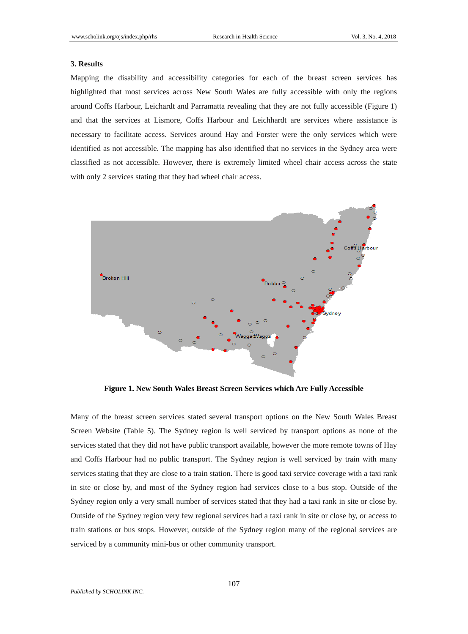### **3. Results**

Mapping the disability and accessibility categories for each of the breast screen services has highlighted that most services across New South Wales are fully accessible with only the regions around Coffs Harbour, Leichardt and Parramatta revealing that they are not fully accessible (Figure 1) and that the services at Lismore, Coffs Harbour and Leichhardt are services where assistance is necessary to facilitate access. Services around Hay and Forster were the only services which were identified as not accessible. The mapping has also identified that no services in the Sydney area were classified as not accessible. However, there is extremely limited wheel chair access across the state with only 2 services stating that they had wheel chair access.



**Figure 1. New South Wales Breast Screen Services which Are Fully Accessible**

Many of the breast screen services stated several transport options on the New South Wales Breast Screen Website (Table 5). The Sydney region is well serviced by transport options as none of the services stated that they did not have public transport available, however the more remote towns of Hay and Coffs Harbour had no public transport. The Sydney region is well serviced by train with many services stating that they are close to a train station. There is good taxi service coverage with a taxi rank in site or close by, and most of the Sydney region had services close to a bus stop. Outside of the Sydney region only a very small number of services stated that they had a taxi rank in site or close by. Outside of the Sydney region very few regional services had a taxi rank in site or close by, or access to train stations or bus stops. However, outside of the Sydney region many of the regional services are serviced by a community mini-bus or other community transport.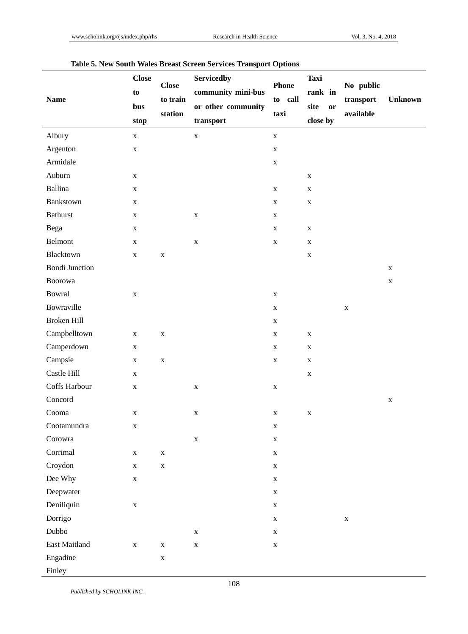| <b>Name</b>           | <b>Close</b><br>to<br>bus | <b>Close</b><br>to train<br>station | <b>Servicedby</b><br>community mini-bus | <b>Phone</b><br>to call | <b>Taxi</b><br>rank in | No public<br>transport | <b>Unknown</b> |
|-----------------------|---------------------------|-------------------------------------|-----------------------------------------|-------------------------|------------------------|------------------------|----------------|
|                       |                           |                                     | or other community                      | taxi                    | site<br>or             | available              |                |
|                       | stop                      |                                     | transport                               |                         | close by               |                        |                |
| Albury                | $\mathbf X$               |                                     | $\mathbf X$                             | $\mathbf X$             |                        |                        |                |
| Argenton              | $\mathbf X$               |                                     |                                         | $\mathbf X$             |                        |                        |                |
| Armidale              |                           |                                     |                                         | $\mathbf X$             |                        |                        |                |
| Auburn                | $\mathbf X$               |                                     |                                         |                         | $\mathbf X$            |                        |                |
| Ballina               | $\mathbf X$               |                                     |                                         | $\mathbf X$             | $\mathbf X$            |                        |                |
| Bankstown             | $\mathbf X$               |                                     |                                         | $\mathbf X$             | $\mathbf X$            |                        |                |
| <b>Bathurst</b>       | $\mathbf X$               |                                     | X                                       | $\mathbf X$             |                        |                        |                |
| Bega                  | $\mathbf X$               |                                     |                                         | $\mathbf X$             | $\mathbf X$            |                        |                |
| Belmont               | $\mathbf X$               |                                     | $\mathbf X$                             | $\mathbf X$             | $\mathbf X$            |                        |                |
| Blacktown             | $\mathbf X$               | $\mathbf X$                         |                                         |                         | $\mathbf X$            |                        |                |
| <b>Bondi Junction</b> |                           |                                     |                                         |                         |                        |                        | $\mathbf X$    |
| Boorowa               |                           |                                     |                                         |                         |                        |                        | X              |
| Bowral                | X                         |                                     |                                         | $\mathbf X$             |                        |                        |                |
| Bowraville            |                           |                                     |                                         | $\mathbf X$             |                        | $\mathbf X$            |                |
| Broken Hill           |                           |                                     |                                         | $\mathbf X$             |                        |                        |                |
| Campbelltown          | $\mathbf X$               | $\mathbf X$                         |                                         | $\mathbf X$             | $\mathbf X$            |                        |                |
| Camperdown            | X                         |                                     |                                         | $\mathbf X$             | $\mathbf X$            |                        |                |
| Campsie               | $\mathbf X$               | $\mathbf X$                         |                                         | $\mathbf X$             | $\mathbf X$            |                        |                |
| Castle Hill           | $\mathbf X$               |                                     |                                         |                         | $\mathbf X$            |                        |                |
| Coffs Harbour         | $\mathbf X$               |                                     | $\mathbf X$                             | $\mathbf X$             |                        |                        |                |
| Concord               |                           |                                     |                                         |                         |                        |                        | $\mathbf X$    |
| Cooma                 | $\mathbf X$               |                                     | $\mathbf X$                             | $\mathbf X$             | $\mathbf X$            |                        |                |
| Cootamundra           | $\mathbf X$               |                                     |                                         | $\mathbf X$             |                        |                        |                |
| Corowra               |                           |                                     | $\mathbf X$                             | $\mathbf X$             |                        |                        |                |
| Corrimal              | $\mathbf X$               | $\mathbf X$                         |                                         | $\mathbf X$             |                        |                        |                |
| Croydon               | $\mathbf X$               | $\mathbf X$                         |                                         | $\mathbf X$             |                        |                        |                |
| Dee Why               | $\mathbf X$               |                                     |                                         | $\mathbf X$             |                        |                        |                |
| Deepwater             |                           |                                     |                                         | $\mathbf X$             |                        |                        |                |
| Deniliquin            | $\mathbf X$               |                                     |                                         | $\mathbf X$             |                        |                        |                |
| Dorrigo               |                           |                                     |                                         | $\mathbf X$             |                        | $\mathbf X$            |                |
| Dubbo                 |                           |                                     | $\mathbf X$                             | $\mathbf X$             |                        |                        |                |
| East Maitland         | $\mathbf X$               | $\mathbf X$                         | $\mathbf X$                             | $\mathbf X$             |                        |                        |                |
| Engadine              |                           | $\mathbf X$                         |                                         |                         |                        |                        |                |
| Finley                |                           |                                     |                                         |                         |                        |                        |                |

### **Table 5. New South Wales Breast Screen Services Transport Options**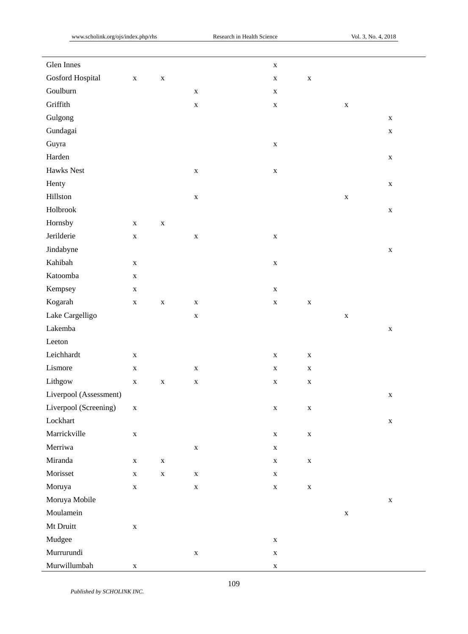| Glen Innes             |             |             |             | $\mathbf X$ |             |             |             |
|------------------------|-------------|-------------|-------------|-------------|-------------|-------------|-------------|
| Gosford Hospital       | $\mathbf X$ | $\mathbf X$ |             | $\mathbf X$ | $\mathbf X$ |             |             |
| Goulburn               |             |             | $\mathbf X$ | $\mathbf X$ |             |             |             |
| Griffith               |             |             | $\mathbf X$ | $\mathbf X$ |             | $\mathbf X$ |             |
| Gulgong                |             |             |             |             |             |             | $\mathbf X$ |
| Gundagai               |             |             |             |             |             |             | $\mathbf X$ |
| Guyra                  |             |             |             | $\mathbf X$ |             |             |             |
| Harden                 |             |             |             |             |             |             | $\mathbf X$ |
| Hawks Nest             |             |             | $\mathbf X$ | $\mathbf X$ |             |             |             |
| Henty                  |             |             |             |             |             |             | $\mathbf X$ |
| Hillston               |             |             | $\mathbf X$ |             |             | $\mathbf X$ |             |
| Holbrook               |             |             |             |             |             |             | $\mathbf X$ |
| Hornsby                | $\mathbf X$ | $\mathbf X$ |             |             |             |             |             |
| Jerilderie             | $\mathbf X$ |             | $\mathbf X$ | $\mathbf X$ |             |             |             |
| Jindabyne              |             |             |             |             |             |             | $\mathbf X$ |
| Kahibah                | $\mathbf X$ |             |             | $\mathbf X$ |             |             |             |
| Katoomba               | $\mathbf X$ |             |             |             |             |             |             |
| Kempsey                | $\mathbf X$ |             |             | $\mathbf X$ |             |             |             |
| Kogarah                | $\mathbf X$ | $\mathbf X$ | $\mathbf X$ | $\mathbf X$ | $\mathbf X$ |             |             |
| Lake Cargelligo        |             |             | $\mathbf X$ |             |             | $\mathbf X$ |             |
| Lakemba                |             |             |             |             |             |             | $\mathbf X$ |
| Leeton                 |             |             |             |             |             |             |             |
| Leichhardt             | $\mathbf X$ |             |             | $\mathbf X$ | $\mathbf X$ |             |             |
| Lismore                | $\mathbf X$ |             | $\mathbf X$ | $\mathbf X$ | $\mathbf X$ |             |             |
| Lithgow                | $\mathbf X$ | $\mathbf X$ | $\mathbf X$ | $\mathbf X$ | $\mathbf X$ |             |             |
| Liverpool (Assessment) |             |             |             |             |             |             | $\mathbf X$ |
| Liverpool (Screening)  | $\mathbf X$ |             |             | $\mathbf X$ | $\mathbf X$ |             |             |
| Lockhart               |             |             |             |             |             |             | $\mathbf X$ |
| Marrickville           | $\mathbf X$ |             |             | $\mathbf X$ | $\mathbf X$ |             |             |
| Merriwa                |             |             | $\mathbf X$ | $\mathbf X$ |             |             |             |
| Miranda                | $\mathbf X$ | $\mathbf X$ |             | $\mathbf X$ | $\mathbf X$ |             |             |
| Morisset               | $\mathbf X$ | $\mathbf X$ | $\mathbf X$ | $\mathbf X$ |             |             |             |
| Moruya                 | $\mathbf X$ |             | $\mathbf X$ | $\mathbf X$ | $\mathbf X$ |             |             |
| Moruya Mobile          |             |             |             |             |             |             | $\mathbf X$ |
| Moulamein              |             |             |             |             |             | $\mathbf X$ |             |
| Mt Druitt              | $\mathbf X$ |             |             |             |             |             |             |
| Mudgee                 |             |             |             | $\mathbf X$ |             |             |             |
| Murrurundi             |             |             | $\mathbf X$ | $\mathbf X$ |             |             |             |
| Murwillumbah           | $\mathbf X$ |             |             | $\mathbf X$ |             |             |             |

*Published by SCHOLINK INC.*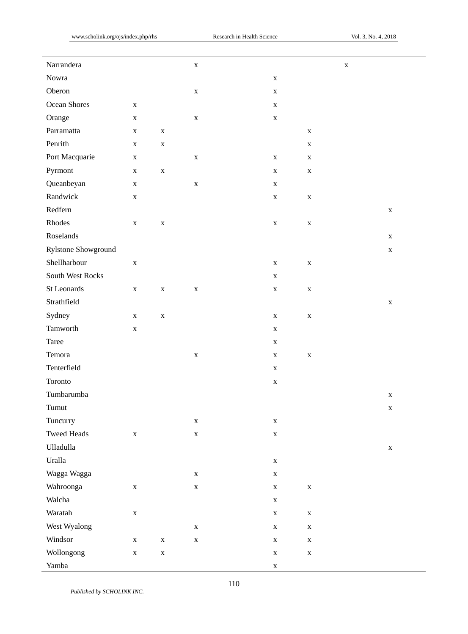| Narrandera          |             |             | $\mathbf X$ |             | $\mathbf X$ |             |
|---------------------|-------------|-------------|-------------|-------------|-------------|-------------|
| Nowra               |             |             |             | $\mathbf X$ |             |             |
| Oberon              |             |             | $\mathbf X$ | $\mathbf X$ |             |             |
| Ocean Shores        | $\mathbf X$ |             |             | $\mathbf X$ |             |             |
| Orange              | $\mathbf X$ |             | $\mathbf X$ | $\mathbf X$ |             |             |
| Parramatta          | $\mathbf X$ | $\mathbf X$ |             |             | $\mathbf X$ |             |
| Penrith             | $\mathbf X$ | $\mathbf X$ |             |             | $\mathbf X$ |             |
| Port Macquarie      | $\mathbf X$ |             | $\mathbf X$ | $\mathbf X$ | $\mathbf X$ |             |
| Pyrmont             | $\mathbf X$ | $\mathbf X$ |             | $\mathbf X$ | $\mathbf X$ |             |
| Queanbeyan          | $\mathbf X$ |             | $\mathbf X$ | $\mathbf X$ |             |             |
| Randwick            | $\mathbf X$ |             |             | $\mathbf X$ | $\mathbf X$ |             |
| Redfern             |             |             |             |             |             | $\mathbf X$ |
| Rhodes              | $\mathbf X$ | $\mathbf X$ |             | $\mathbf X$ | $\mathbf X$ |             |
| Roselands           |             |             |             |             |             | $\mathbf X$ |
| Rylstone Showground |             |             |             |             |             | $\mathbf X$ |
| Shellharbour        | $\mathbf X$ |             |             | $\mathbf X$ | $\mathbf X$ |             |
| South West Rocks    |             |             |             | $\mathbf X$ |             |             |
| St Leonards         | $\mathbf X$ | $\mathbf X$ | $\mathbf X$ | $\mathbf X$ | $\mathbf X$ |             |
| Strathfield         |             |             |             |             |             | $\mathbf X$ |
| Sydney              | $\mathbf X$ | $\mathbf X$ |             | $\mathbf X$ | $\mathbf X$ |             |
| Tamworth            | $\mathbf X$ |             |             | $\mathbf X$ |             |             |
| Taree               |             |             |             | $\mathbf X$ |             |             |
| Temora              |             |             | $\mathbf X$ | $\mathbf X$ | $\mathbf X$ |             |
| Tenterfield         |             |             |             | $\mathbf X$ |             |             |
| Toronto             |             |             |             | $\mathbf X$ |             |             |
| Tumbarumba          |             |             |             |             |             | $\mathbf X$ |
| Tumut               |             |             |             |             |             | $\mathbf X$ |
| Tuncurry            |             |             | $\mathbf X$ | $\mathbf X$ |             |             |
| <b>Tweed Heads</b>  | $\mathbf X$ |             | $\mathbf X$ | $\mathbf X$ |             |             |
| Ulladulla           |             |             |             |             |             | $\mathbf X$ |
| Uralla              |             |             |             | $\mathbf X$ |             |             |
| Wagga Wagga         |             |             | $\mathbf X$ | $\mathbf X$ |             |             |
| Wahroonga           | $\mathbf X$ |             | $\mathbf X$ | $\mathbf X$ | $\mathbf X$ |             |
| Walcha              |             |             |             | $\mathbf X$ |             |             |
| Waratah             | $\mathbf X$ |             |             | $\mathbf X$ | $\mathbf X$ |             |
| West Wyalong        |             |             | $\mathbf X$ | $\mathbf X$ | $\mathbf X$ |             |
| Windsor             | $\mathbf X$ | $\mathbf X$ | $\mathbf X$ | $\mathbf X$ | $\mathbf X$ |             |
| Wollongong          | $\mathbf X$ | $\mathbf X$ |             | $\mathbf X$ | $\mathbf X$ |             |
| Yamba               |             |             |             | $\mathbf X$ |             |             |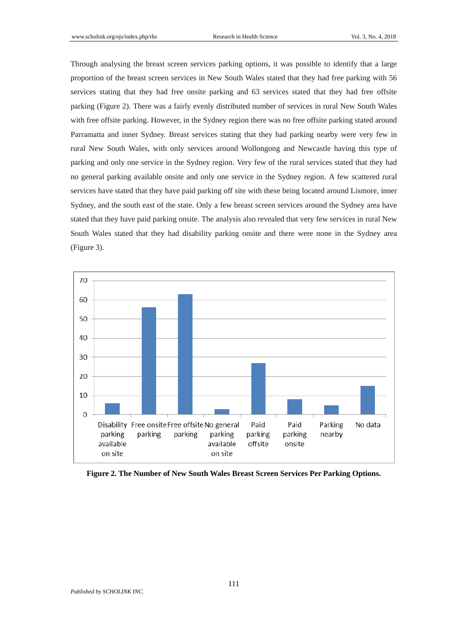Through analysing the breast screen services parking options, it was possible to identify that a large proportion of the breast screen services in New South Wales stated that they had free parking with 56 services stating that they had free onsite parking and 63 services stated that they had free offsite parking (Figure 2). There was a fairly evenly distributed number of services in rural New South Wales with free offsite parking. However, in the Sydney region there was no free offsite parking stated around Parramatta and inner Sydney. Breast services stating that they had parking nearby were very few in rural New South Wales, with only services around Wollongong and Newcastle having this type of parking and only one service in the Sydney region. Very few of the rural services stated that they had no general parking available onsite and only one service in the Sydney region. A few scattered rural services have stated that they have paid parking off site with these being located around Lismore, inner Sydney, and the south east of the state. Only a few breast screen services around the Sydney area have stated that they have paid parking onsite. The analysis also revealed that very few services in rural New South Wales stated that they had disability parking onsite and there were none in the Sydney area (Figure 3).



**Figure 2. The Number of New South Wales Breast Screen Services Per Parking Options.**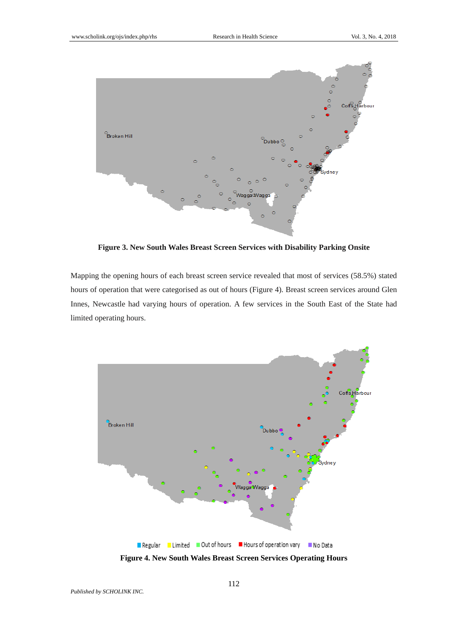

**Figure 3. New South Wales Breast Screen Services with Disability Parking Onsite**

Mapping the opening hours of each breast screen service revealed that most of services (58.5%) stated hours of operation that were categorised as out of hours (Figure 4). Breast screen services around Glen Innes, Newcastle had varying hours of operation. A few services in the South East of the State had limited operating hours.



**Figure 4. New South Wales Breast Screen Services Operating Hours**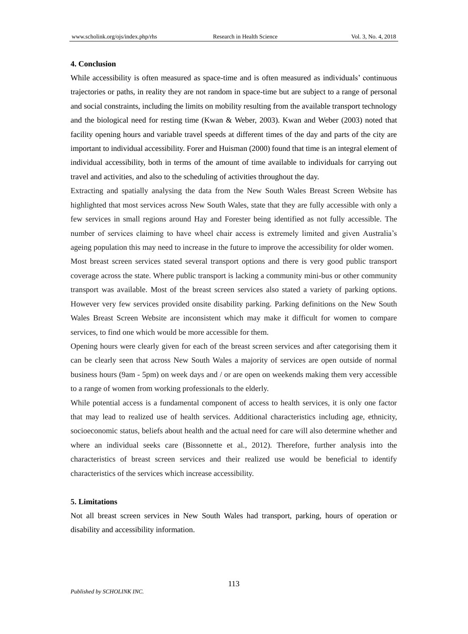#### **4. Conclusion**

While accessibility is often measured as space-time and is often measured as individuals' continuous trajectories or paths, in reality they are not random in space-time but are subject to a range of personal and social constraints, including the limits on mobility resulting from the available transport technology and the biological need for resting time (Kwan & Weber, 2003). Kwan and Weber (2003) noted that facility opening hours and variable travel speeds at different times of the day and parts of the city are important to individual accessibility. Forer and Huisman (2000) found that time is an integral element of individual accessibility, both in terms of the amount of time available to individuals for carrying out travel and activities, and also to the scheduling of activities throughout the day.

Extracting and spatially analysing the data from the New South Wales Breast Screen Website has highlighted that most services across New South Wales, state that they are fully accessible with only a few services in small regions around Hay and Forester being identified as not fully accessible. The number of services claiming to have wheel chair access is extremely limited and given Australia's ageing population this may need to increase in the future to improve the accessibility for older women. Most breast screen services stated several transport options and there is very good public transport coverage across the state. Where public transport is lacking a community mini-bus or other community

transport was available. Most of the breast screen services also stated a variety of parking options. However very few services provided onsite disability parking. Parking definitions on the New South Wales Breast Screen Website are inconsistent which may make it difficult for women to compare services, to find one which would be more accessible for them.

Opening hours were clearly given for each of the breast screen services and after categorising them it can be clearly seen that across New South Wales a majority of services are open outside of normal business hours (9am - 5pm) on week days and / or are open on weekends making them very accessible to a range of women from working professionals to the elderly.

While potential access is a fundamental component of access to health services, it is only one factor that may lead to realized use of health services. Additional characteristics including age, ethnicity, socioeconomic status, beliefs about health and the actual need for care will also determine whether and where an individual seeks care (Bissonnette et al., 2012). Therefore, further analysis into the characteristics of breast screen services and their realized use would be beneficial to identify characteristics of the services which increase accessibility.

### **5. Limitations**

Not all breast screen services in New South Wales had transport, parking, hours of operation or disability and accessibility information.